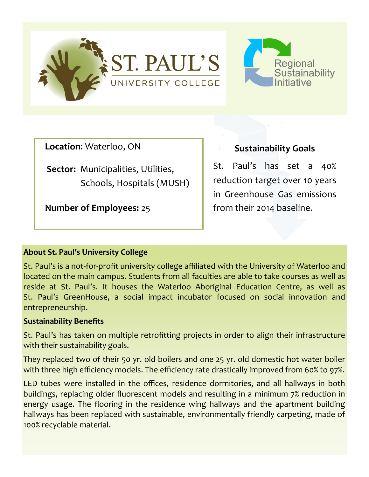



**Location**: Waterloo, ON

**Sector:** Municipalities, Utilities, Schools, Hospitals (MUSH)

**Number of Employees:** 25

**Sustainability Goals**

St. Paul's has set a 40% reduction target over 10 years in Greenhouse Gas emissions from their 2014 baseline.

## **About St. Paul's University College**

St. Paul's is a not-for-profit university college affiliated with the University of Waterloo and located on the main campus. Students from all faculties are able to take courses as well as reside at St. Paul's. It houses the Waterloo Aboriginal Education Centre, as well as St. Paul's GreenHouse, a social impact incubator focused on social innovation and entrepreneurship.

## **Sustainability Benefits**

St. Paul's has taken on multiple retrofitting projects in order to align their infrastructure with their sustainability goals.

They replaced two of their 50 yr. old boilers and one 25 yr. old domestic hot water boiler with three high efficiency models. The efficiency rate drastically improved from 60% to 97%.

LED tubes were installed in the offices, residence dormitories, and all hallways in both buildings, replacing older fluorescent models and resulting in a minimum 7% reduction in energy usage. The flooring in the residence wing hallways and the apartment building hallways has been replaced with sustainable, environmentally friendly carpeting, made of 100% recyclable material.